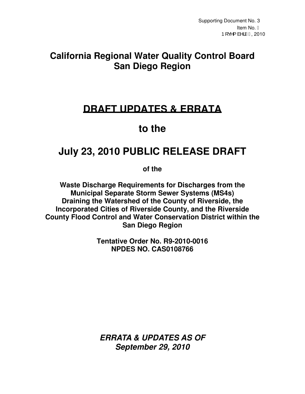## **California Regional Water Quality Control Board San Diego Region**

## **DRAFT UPDATES & ERRATA**

# **to the**

# **July 23, 2010 PUBLIC RELEASE DRAFT**

**of the** 

**Waste Discharge Requirements for Discharges from the Municipal Separate Storm Sewer Systems (MS4s) Draining the Watershed of the County of Riverside, the Incorporated Cities of Riverside County, and the Riverside County Flood Control and Water Conservation District within the San Diego Region** 

> **Tentative Order No. R9-2010-0016 NPDES NO. CAS0108766**

**ERRATA & UPDATES AS OF September 29, 2010**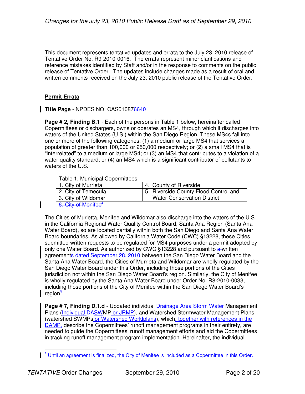This document represents tentative updates and errata to the July 23, 2010 release of Tentative Order No. R9-2010-0016. The errata represent minor clarifications and reference mistakes identified by Staff and/or in the response to comments on the public release of Tentative Order. The updates include changes made as a result of oral and written comments received on the July 23, 2010 public release of the Tentative Order.

#### **Permit Errata**

**Title Page** - NPDES NO. CAS010876640

**Page # 2, Finding B.1** - Each of the persons in Table 1 below, hereinafter called Copermittees or dischargers, owns or operates an MS4, through which it discharges into waters of the United States (U.S.) within the San Diego Region. These MS4s fall into one or more of the following categories: (1) a medium or large MS4 that services a population of greater than 100,000 or 250,000 respectively; or (2) a small MS4 that is "interrelated" to a medium or large MS4; or (3) an MS4 that contributes to a violation of a water quality standard; or (4) an MS4 which is a significant contributor of pollutants to waters of the U.S.

#### Table 1. Municipal Copermittees

| 1. City of Murrieta             | 4. County of Riverside                |
|---------------------------------|---------------------------------------|
| 2. City of Temecula             | 5. Riverside County Flood Control and |
| 3. City of Wildomar             | <b>Water Conservation District</b>    |
| 6. City of Menifee <sup>+</sup> |                                       |

The Cities of Murietta, Menifee and Wildomar also discharge into the waters of the U.S. in the California Regional Water Quality Control Board, Santa Ana Region (Santa Ana Water Board), so are located partially within both the San Diego and Santa Ana Water Board boundaries. As allowed by California Water Code (CWC) §13228, these Cities submitted written requests to be regulated for MS4 purposes under a permit adopted by only one Water Board. As authorized by CWC  $§13228$  and pursuant to a written agreements dated September 28, 2010 between the San Diego Water Board and the Santa Ana Water Board, the Cities of Murrieta and Wildomar are wholly regulated by the San Diego Water Board under this Order, including those portions of the Cities jurisdiction not within the San Diego Water Board's region. Similarly, the City of Menifee is wholly regulated by the Santa Ana Water Board under Order No. R8-2010-0033, including those portions of the City of Menifee within the San Diego Water Board's region<sup>+</sup>

**Page # 7, Finding D.1.d** - Updated individual **Drainage Area Storm Water Management** Plans (Individual DASWMP or JRMP), and Watershed Stormwater Management Plans (watershed SWMPs or Watershed Worklplans), which, together with references in the DAMP, describe the Copermittees' runoff management programs in their entirety, are needed to guide the Copermittees' runoff management efforts and aid the Copermittees in tracking runoff management program implementation. Hereinafter, the individual

 $\overline{\phantom{a}}$ <sup>1</sup> Until an agreement is finalized, the City of Menifee is included as a Copermittee in this Order.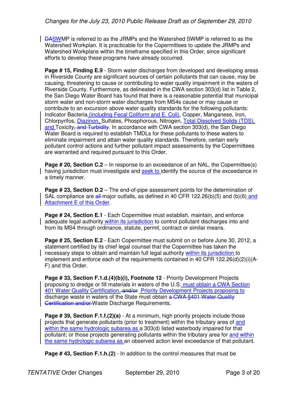DASWMP is referred to as the JRMPs and the Watershed SWMP is referred to as the Watershed Workplan. It is practicable for the Copermittees to update the JRMPs and Watershed Workplans within the timeframe specified in this Order, since significant efforts to develop these programs have already occurred.

**Page # 15, Finding E.9** - Storm water discharges from developed and developing areas in Riverside County are significant sources of certain pollutants that can cause, may be causing, threatening to cause or contributing to water quality impairment in the waters of Riverside County. Furthermore, as delineated in the CWA section 303(d) list in Table 2, the San Diego Water Board has found that there is a reasonable potential that municipal storm water and non-storm water discharges from MS4s cause or may cause or contribute to an excursion above water quality standards for the following pollutants: Indicator Bacteria (including Fecal Coliform and E. Coli), Copper, Manganese, Iron, Chlorpyrifos, Diazinon, Sulfates, Phosphorous, Nitrogen, Total Dissolved Solids (TDS), and Toxicity<del>, and Turbidity</del>. In accordance with CWA section 303(d), the San Diego Water Board is required to establish TMDLs for these pollutants to these waters to eliminate impairment and attain water quality standards. Therefore, certain early pollutant control actions and further pollutant impact assessments by the Copermittees are warranted and required pursuant to this Order.

**Page # 20, Section C.2** – In response to an exceedance of an NAL, the Copermittee(s) having jurisdiction must investigate and seek to identify the source of the exceedance in a timely manner.

**Page # 23, Section D.2** – The end-of-pipe assessment points for the determination of SAL compliance are all major outfalls, as defined in 40 CFR 122.26(b)(5) and (b)(6) and Attachment E of this Order.

**Page # 24, Section E.1** - Each Copermittee must establish, maintain, and enforce adequate legal authority within its jurisdiction to control pollutant discharges into and from its MS4 through ordinance, statute, permit, contract or similar means.

**Page # 25, Section E.2** - Each Copermittee must submit on or before June 30, 2012, a statement certified by its chief legal counsel that the Copermittee has taken the necessary steps to obtain and maintain full legal authority within its jurisdiction to implement and enforce each of the requirements contained in 40 CFR 122.26(d)(2)(i)(A-F) and this Order.

**Page # 33, Section F.1.d.(4)(b)(i), Footnote 12** - Priority Development Projects proposing to dredge or fill materials in waters of the U.S. must obtain a CWA Section 401 Water Quality Certification. and/or Priority Development Projects proposing to discharge waste in waters of the State must obtain a CWA §401 Water Quality Certification and/or Waste Discharge Requirements.

**Page # 39, Section F.1.f.(2)(a)** - At a minimum, high priority projects include those projects that generate pollutants (prior to treatment) within the tributary area of and within the same hydrologic subarea as a 303(d) listed waterbody impaired for that pollutant; or those projects generating pollutants within the tributary area for and within the same hydrologic subarea as an observed action level exceedance of that pollutant.

**Page # 43, Section F.1.h.(2)** - In addition to the control measures that must be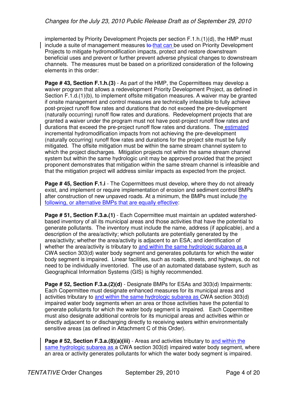implemented by Priority Development Projects per section F.1.h.(1)(d), the HMP must include a suite of management measures to that can be used on Priority Development Projects to mitigate hydromodification impacts, protect and restore downstream beneficial uses and prevent or further prevent adverse physical changes to downstream channels. The measures must be based on a prioritized consideration of the following elements in this order:

**Page # 43, Section F.1.h.(3)** - As part of the HMP, the Copermittees may develop a waiver program that allows a redevelopment Priority Development Project, as defined in Section F.1.d.(1)(b), to implement offsite mitigation measures. A waiver may be granted if onsite management and control measures are technically infeasible to fully achieve post-project runoff flow rates and durations that do not exceed the pre-development (naturally occurring) runoff flow rates and durations. Redevelopment projects that are granted a waiver under the program must not have post-project runoff flow rates and durations that exceed the pre-project runoff flow rates and durations. The estimated incremental hydromodification impacts from not achieving the pre-development (naturally occurring) runoff flow rates and durations for the project site must be fully mitigated. The offsite mitigation must be within the same stream channel system to which the project discharges. Mitigation projects not within the same stream channel system but within the same hydrologic unit may be approved provided that the project proponent demonstrates that mitigation within the same stream channel is infeasible and that the mitigation project will address similar impacts as expected from the project.

**Page # 45, Section F.1.i** - The Copermittees must develop, where they do not already exist, and implement or require implementation of erosion and sediment control BMPs after construction of new unpaved roads. At a minimum, the BMPs must include the following, or alternative BMPs that are equally effective:

**Page # 51, Section F.3.a.(1)** - Each Copermittee must maintain an updated watershedbased inventory of all its municipal areas and those activities that have the potential to generate pollutants. The inventory must include the name, address (if applicable), and a description of the area/activity; which pollutants are potentially generated by the area/activity; whether the area/activity is adjacent to an ESA; and identification of whether the area/activity is tributary to and within the same hydrologic subarea as a CWA section 303(d) water body segment and generates pollutants for which the water body segment is impaired. Linear facilities, such as roads, streets, and highways, do not need to be individually inventoried. The use of an automated database system, such as Geographical Information Systems (GIS) is highly recommended.

**Page # 52, Section F.3.a.(2)(d)** - Designate BMPs for ESAs and 303(d) Impairments: Each Copermittee must designate enhanced measures for its municipal areas and activities tributary to and within the same hydrologic subarea as CWA section 303(d) impaired water body segments when an area or those activities have the potential to generate pollutants for which the water body segment is impaired. Each Copermittee must also designate additional controls for its municipal areas and activities within or directly adjacent to or discharging directly to receiving waters within environmentally sensitive areas (as defined in Attachment C of this Order).

**Page # 52, Section F.3.a.(8)(a)(iii)** - Areas and activities tributary to and within the same hydrologic subarea as a CWA section 303(d) impaired water body segment, where an area or activity generates pollutants for which the water body segment is impaired.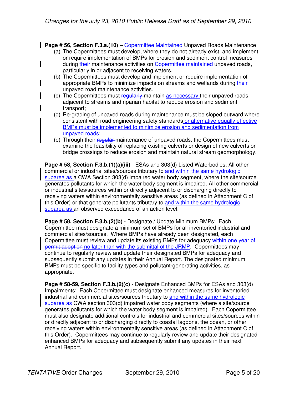**Page # 56, Section F.3.a.(10) – Copermittee Maintained Unpaved Roads Maintenance** 

- (a) The Copermittees must develop, where they do not already exist, and implement or require implementation of BMPs for erosion and sediment control measures during their maintenance activities on Copermittee maintained unpaved roads, particularly in or adjacent to receiving waters.
- (b) The Copermittees must develop and implement or require implementation of appropriate BMPs to minimize impacts on streams and wetlands during their unpaved road maintenance activities.
- (c) The Copermittees must regularly maintain as necessary their unpaved roads adjacent to streams and riparian habitat to reduce erosion and sediment transport;
- (d) Re-grading of unpaved roads during maintenance must be sloped outward where consistent with road engineering safety standards or alternative equally effective BMPs must be implemented to minimize erosion and sedimentation from unpaved roads;
- (e) Through their regular maintenance of unpaved roads, the Copermittees must examine the feasibility of replacing existing culverts or design of new culverts or bridge crossings to reduce erosion and maintain natural stream geomorphology.

**Page # 58, Section F.3.b.(1)(a)(iii)** - ESAs and 303(d) Listed Waterbodies: All other commercial or industrial sites/sources tributary to and within the same hydrologic subarea as a CWA Section 303(d) impaired water body segment, where the site/source generates pollutants for which the water body segment is impaired. All other commercial or industrial sites/sources within or directly adjacent to or discharging directly to receiving waters within environmentally sensitive areas (as defined in Attachment C of this Order) or that generate pollutants tributary to and within the same hydrologic subarea as an observed exceedance of an action level.

**Page # 58, Section F.3.b.(2)(b)** - Designate / Update Minimum BMPs: Each Copermittee must designate a minimum set of BMPs for all inventoried industrial and commercial sites/sources. Where BMPs have already been designated, each Copermittee must review and update its existing BMPs for adequacy within one year of permit adoption no later than with the submittal of the JRMP. Copermittees may continue to regularly review and update their designated BMPs for adequacy and subsequently submit any updates in their Annual Report. The designated minimum BMPs must be specific to facility types and pollutant-generating activities, as appropriate.

**Page # 58-59, Section F.3.b.(2)(c)** - Designate Enhanced BMPs for ESAs and 303(d) Impairments: Each Copermittee must designate enhanced measures for inventoried industrial and commercial sites/sources tributary to and within the same hydrologic subarea as CWA section 303(d) impaired water body segments (where a site/source generates pollutants for which the water body segment is impaired). Each Copermittee must also designate additional controls for industrial and commercial sites/sources within or directly adjacent to or discharging directly to coastal lagoons, the ocean, or other receiving waters within environmentally sensitive areas (as defined in Attachment C of this Order). Copermittees may continue to regularly review and update their designated enhanced BMPs for adequacy and subsequently submit any updates in their next Annual Report.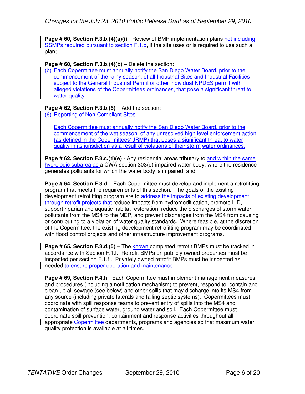**Page # 60, Section F.3.b.(4)(a)(i)** - Review of BMP implementation plans not including SSMPs required pursuant to section F.1.d, if the site uses or is required to use such a plan;

**Page # 60, Section F.3.b.(4)(b)** – Delete the section:

(b) Each Copermittee must annually notify the San Diego Water Board, prior to the commencement of the rainy season, of all Industrial Sites and Industrial Facilities subject to the General Industrial Permit or other individual NPDES permit with alleged violations of the Copermittees ordinances, that pose a significant threat to water quality.

**Page # 62, Section F.3.b.(6)** – Add the section: (6) Reporting of Non-Compliant Sites

Each Copermittee must annually notify the San Diego Water Board, prior to the commencement of the wet season, of any unresolved high level enforcement action (as defined in the Copermittees' JRMP) that poses a significant threat to water quality in its jurisdiction as a result of violations of their storm water ordinances.

**Page # 62, Section F.3.c.(1)(e)** - Any residential areas tributary to and within the same hydrologic subarea as a CWA section 303(d) impaired water body, where the residence generates pollutants for which the water body is impaired; and

**Page # 64, Section F.3.d** – Each Copermittee must develop and implement a retrofitting program that meets the requirements of this section. The goals of the existing development retrofitting program are to address the impacts of existing development through retrofit projects that reduce impacts from hydromodification, promote LID, support riparian and aquatic habitat restoration, reduce the discharges of storm water pollutants from the MS4 to the MEP, and prevent discharges from the MS4 from causing or contributing to a violation of water quality standards. Where feasible, at the discretion of the Copermittee, the existing development retrofitting program may be coordinated with flood control projects and other infrastructure improvement programs.

**Page # 65, Section F.3.d.(5)** – The known completed retrofit BMPs must be tracked in accordance with Section F.1.f. Retrofit BMPs on publicly owned properties must be inspected per section F.1.f . Privately owned retrofit BMPs must be inspected as needed to ensure proper operation and maintenance.

**Page # 69, Section F.4.h** - Each Copermittee must implement management measures and procedures (including a notification mechanism) to prevent, respond to, contain and clean up all sewage (see below) and other spills that may discharge into its MS4 from any source (including private laterals and failing septic systems). Copermittees must coordinate with spill response teams to prevent entry of spills into the MS4 and contamination of surface water, ground water and soil. Each Copermittee must coordinate spill prevention, containment and response activities throughout all appropriate Copermittee departments, programs and agencies so that maximum water quality protection is available at all times.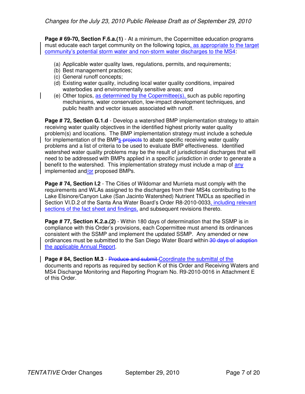**Page # 69-70, Section F.6.a.(1)** - At a minimum, the Copermittee education programs must educate each target community on the following topics, as appropriate to the target community's potential storm water and non-storm water discharges to the MS4:

- (a) Applicable water quality laws, regulations, permits, and requirements;
- (b) Best management practices;
- (c) General runoff concepts;
- (d) Existing water quality, including local water quality conditions, impaired waterbodies and environmentally sensitive areas; and
- (e) Other topics, as determined by the Copermittee(s), such as public reporting mechanisms, water conservation, low-impact development techniques, and public health and vector issues associated with runoff.

**Page # 72, Section G.1.d** - Develop a watershed BMP implementation strategy to attain receiving water quality objectives in the identified highest priority water quality problem(s) and locations. The BMP implementation strategy must include a schedule for implementation of the BMPs-projects to abate specific receiving water quality problems and a list of criteria to be used to evaluate BMP effectiveness. Identified watershed water quality problems may be the result of jurisdictional discharges that will need to be addressed with BMPs applied in a specific jurisdiction in order to generate a benefit to the watershed. This implementation strategy must include a map of any implemented and/or proposed BMPs.

**Page # 74, Section I.2** - The Cities of Wildomar and Murrieta must comply with the requirements and WLAs assigned to the discharges from their MS4s contributing to the Lake Elsinore/Canyon Lake (San Jacinto Watershed) Nutrient TMDLs as specified in Section VI.D.2 of the Santa Ana Water Board's Order R8-2010-0033, including relevant sections of the fact sheet and findings, and subsequent revisions thereto.

**Page # 77, Section K.2.a.(2)** - Within 180 days of determination that the SSMP is in compliance with this Order's provisions, each Copermittee must amend its ordinances consistent with the SSMP and implement the updated SSMP. Any amended or new ordinances must be submitted to the San Diego Water Board within 30 days of adoption the applicable Annual Report.

**Page # 84, Section M.3** - Produce and submit Coordinate the submittal of the documents and reports as required by section K of this Order and Receiving Waters and MS4 Discharge Monitoring and Reporting Program No. R9-2010-0016 in Attachment E of this Order.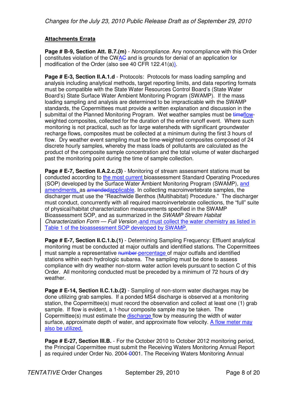## **Attachments Errata**

**Page # B-9, Section Att. B.7.(m)** - Noncompliance. Any noncompliance with this Order constitutes violation of the CWAC and is grounds for denial of an application for modification of the Order (also see 40 CFR 122.41(a)).

**Page # E-3, Section II.A.1.d** - Protocols: Protocols for mass loading sampling and analysis including analytical methods, target reporting limits, and data reporting formats must be compatible with the State Water Resources Control Board's (State Water Board's) State Surface Water Ambient Monitoring Program (SWAMP). If the mass loading sampling and analysis are determined to be impracticable with the SWAMP standards, the Copermittees must provide a written explanation and discussion in the submittal of the Planned Monitoring Program. Wet weather samples must be timeflowweighted composites, collected for the duration of the entire runoff event. Where such monitoring is not practical, such as for large watersheds with significant groundwater recharge flows, composites must be collected at a minimum during the first 3 hours of flow. Dry weather event sampling must be time-weighted composites composed of 24 discrete hourly samples, whereby the mass loads of pollutants are calculated as the product of the composite sample concentration and the total volume of water discharged past the monitoring point during the time of sample collection.

**Page # E-7, Section II.A.2.c.(3)** - Monitoring of stream assessment stations must be conducted according to the most current bioassessment Standard Operating Procedures (SOP) developed by the Surface Water Ambient Monitoring Program (SWAMP), and amendments, as amendedapplicable. In collecting macroinvertebrate samples, the discharger must use the "Reachwide Benthos (Multihabitat) Procedure." The discharger must conduct, concurrently with all required macroinvertebrate collections, the "full" suite of physical/habitat characterization measurements specified in the SWAMP Bioassessment SOP, and as summarized in the *SWAMP Stream Habitat* Characterization Form - Full Version - and must collect the water chemistry as listed in Table 1 of the bioassessment SOP developed by SWAMP.

**Page # E-7, Section II.C.1.b.(1)** - Determining Sampling Frequency: Effluent analytical monitoring must be conducted at major outfalls and identified stations. The Copermittees must sample a representative number percentage of major outfalls and identified stations within each hydrologic subarea. The sampling must be done to assess compliance with dry weather non-storm water action levels pursuant to section C of this Order. All monitoring conducted must be preceded by a minimum of 72 hours of dry weather.

**Page # E-14, Section II.C.1.b.(2)** - Sampling of non-storm water discharges may be done utilizing grab samples. If a ponded MS4 discharge is observed at a monitoring station, the Copermittee(s) must record the observation and collect at least one (1) grab sample. If flow is evident, a 1-hour composite sample may be taken. The Copermittee(s) must estimate the discharge flow by measuring the width of water surface, approximate depth of water, and approximate flow velocity. A flow meter may also be utilized.

**Page # E-27, Section III.B.** - For the October 2010 to October 2012 monitoring period, the Principal Copermittee must submit the Receiving Waters Monitoring Annual Report as required under Order No. 2004-0001. The Receiving Waters Monitoring Annual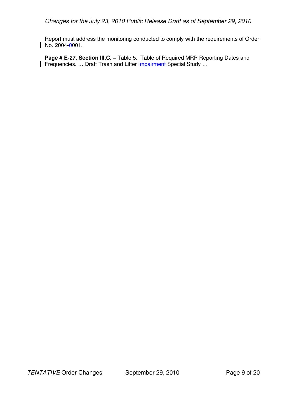Report must address the monitoring conducted to comply with the requirements of Order  $\vert$  No. 2004-0001.

Page # E-27, Section III.C. - Table 5. Table of Required MRP Reporting Dates and Frequencies. ... Draft Trash and Litter Impairment Special Study ...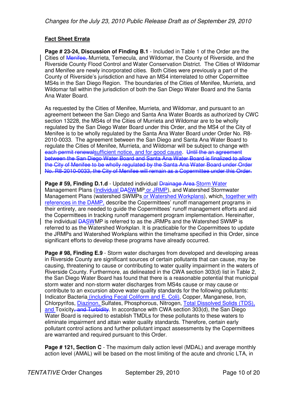## **Fact Sheet Errata**

**Page # 23-24, Discussion of Finding B.1** - Included in Table 1 of the Order are the Cities of Menifee, Murrieta, Temecula, and Wildomar, the County of Riverside, and the Riverside County Flood Control and Water Conservation District. The Cities of Wildomar and Menifee are newly incorporated cities. Both Cities were previously a part of the County of Riverside's jurisdiction and have an MS4 interrelated to other Copermittee MS4s in the San Diego Region. The boundaries of the Cities of Menifee, Murrieta, and Wildomar fall within the jurisdiction of both the San Diego Water Board and the Santa Ana Water Board.

As requested by the Cities of Menifee, Murrieta, and Wildomar, and pursuant to an agreement between the San Diego and Santa Ana Water Boards as authorized by CWC section 13228, the MS4s of the Cities of Murrieta and Wildomar are to be wholly regulated by the San Diego Water Board under this Order, and the MS4 of the City of Menifee is to be wholly regulated by the Santa Ana Water Board under Order No. R8- 2010-0033. The agreement between the San Diego and Santa Ana Water Board to regulate the Cities of Menifee, Murrieta, and Wildomar will be subject to change with each permit renewalsufficient notice, and for good cause. Until the an agreement between the San Diego Water Board and Santa Ana Water Board is finalized to allow the City of Menifee to be wholly regulated by the Santa Ana Water Board under Order No. R8-2010-0033, the City of Menifee will remain as a Copermittee under this Order.

**Page # 59, Finding D.1.d** - Updated individual **Drainage Area-Storm Water** Management Plans (Individual DASWMP or JRMP), and Watershed Stormwater Management Plans (watershed SWMPs or Watershed Workplans), which, together with references in the DAMP, describe the Copermittees' runoff management programs in their entirety, are needed to guide the Copermittees' runoff management efforts and aid the Copermittees in tracking runoff management program implementation. Hereinafter, the individual DASWMP is referred to as the JRMPs and the Watershed SWMP is referred to as the Watershed Workplan. It is practicable for the Copermittees to update the JRMPs and Watershed Workplans within the timeframe specified in this Order, since significant efforts to develop these programs have already occurred.

**Page # 98, Finding E.9** - Storm water discharges from developed and developing areas in Riverside County are significant sources of certain pollutants that can cause, may be causing, threatening to cause or contributing to water quality impairment in the waters of Riverside County. Furthermore, as delineated in the CWA section 303(d) list in Table 2, the San Diego Water Board has found that there is a reasonable potential that municipal storm water and non-storm water discharges from MS4s cause or may cause or contribute to an excursion above water quality standards for the following pollutants: Indicator Bacteria (including Fecal Coliform and E. Coli), Copper, Manganese, Iron, Chlorpyrifos, Diazinon, Sulfates, Phosphorous, Nitrogen, Total Dissolved Solids (TDS), and Toxicity, and Turbidity. In accordance with CWA section 303(d), the San Diego Water Board is required to establish TMDLs for these pollutants to these waters to eliminate impairment and attain water quality standards. Therefore, certain early pollutant control actions and further pollutant impact assessments by the Copermittees are warranted and required pursuant to this Order.

**Page # 121, Section C** - The maximum daily action level (MDAL) and average monthly action level (AMAL) will be based on the most limiting of the acute and chronic LTA, in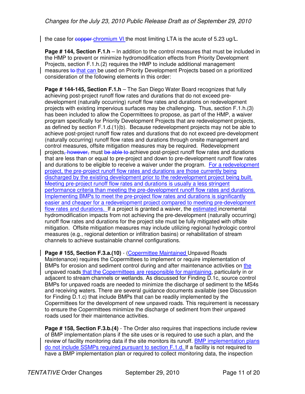the case for copper chromium VI the most limiting LTA is the acute of 5.23 ug/L.

**Page # 144, Section F.1.h** – In addition to the control measures that must be included in the HMP to prevent or minimize hydromodification effects from Priority Development Projects, section F.1.h.(2) requires the HMP to include additional management measures to that can be used on Priority Development Projects based on a prioritized consideration of the following elements in this order:

**Page # 144-145, Section F.1.h** – The San Diego Water Board recognizes that fully achieving post-project runoff flow rates and durations that do not exceed predevelopment (naturally occurring) runoff flow rates and durations on redevelopment projects with existing impervious surfaces may be challenging. Thus, section F.1.h.(3) has been included to allow the Copermittees to propose, as part of the HMP, a waiver program specifically for Priority Development Projects that are redevelopment projects, as defined by section F.1.d.(1)(b). Because redevelopment projects may not be able to achieve post-project runoff flow rates and durations that do not exceed pre-development (naturally occurring) runoff flow rates and durations through onsite management and control measures, offsite mitigation measures may be required. Redevelopment projects, however, must be able to achieve post-project runoff flow rates and durations that are less than or equal to pre-project and down to pre-development runoff flow rates and durations to be eligible to receive a waiver under the program. For a redevelopment project, the pre-project runoff flow rates and durations are those currently being discharged by the existing development prior to the redevelopment project being built. Meeting pre-project runoff flow rates and durations is usually a less stringent performance criteria than meeting the pre-development runoff flow rates and durations. Implementing BMPs to meet the pre-project flow rates and durations is significantly easier and cheaper for a redevelopment project compared to meeting pre-development flow rates and durations. If a project is granted a waiver, the estimated incremental hydromodification impacts from not achieving the pre-development (naturally occurring) runoff flow rates and durations for the project site must be fully mitigated with offsite mitigation. Offsite mitigation measures may include utilizing regional hydrologic control measures (e.g., regional detention or infiltration basins) or rehabilitation of stream channels to achieve sustainable channel configurations.

**Page # 155, Section F.3.a.(10)** - (Copermittee Maintained Unpaved Roads Maintenance) requires the Copermittees to implement or require implementation of BMPs for erosion and sediment control during and after maintenance activities on the unpaved roads that the Copermittees are responsible for maintaining, particularly in or adjacent to stream channels or wetlands. As discussed for Finding D.1c, source control BMPs for unpaved roads are needed to minimize the discharge of sediment to the MS4s and receiving waters. There are several guidance documents available (see Discussion for Finding D.1.c) that include BMPs that can be readily implemented by the Copermittees for the development of new unpaved roads. This requirement is necessary to ensure the Copermittees minimize the discharge of sediment from their unpaved roads used for their maintenance activities.

**Page # 158, Section F.3.b.(4)** - The Order also requires that inspections include review of BMP implementation plans if the site uses or is required to use such a plan, and the review of facility monitoring data if the site monitors its runoff. BMP implementation plans do not include SSMPs required pursuant to section F.1.d. If a facility is not required to have a BMP implementation plan or required to collect monitoring data, the inspection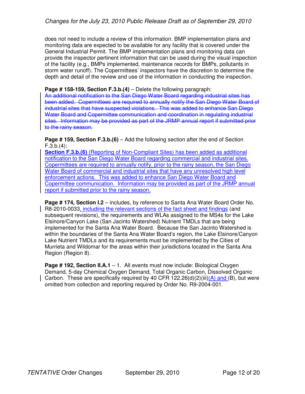does not need to include a review of this information. BMP implementation plans and monitoring data are expected to be available for any facility that is covered under the General Industrial Permit. The BMP implementation plans and monitoring data can provide the inspector pertinent information that can be used during the visual inspection of the facility (e.g., BMPs implemented, maintenance records for BMPs, pollutants in storm water runoff). The Copermittees' inspectors have the discretion to determine the depth and detail of the review and use of the information in conducting the inspection.

#### **Page # 158-159, Section F.3.b.(4)** – Delete the following paragraph:

An additional notification to the San Diego Water Board regarding industrial sites has been added. Copermittees are required to annually notify the San Diego Water Board of industrial sites that have suspected violations. This was added to enhance San Diego Water Board and Copermittee communication and coordination in regulating industrial sites. Information may be provided as part of the JRMP annual report if submitted prior to the rainy season.

#### **Page # 159, Section F.3.b.(6)** – Add the following section after the end of Section  $F.3.b.(4)$ :

**Section F.3.b.(6)** (Reporting of Non-Compliant Sites) has been added as additional notification to the San Diego Water Board regarding commercial and industrial sites. Copermittees are required to annually notify, prior to the rainy season, the San Diego Water Board of commercial and industrial sites that have any unresolved high level enforcement actions. This was added to enhance San Diego Water Board and Copermittee communication. Information may be provided as part of the JRMP annual report if submitted prior to the rainy season.

**Page # 174, Section I.2** – includes, by reference to Santa Ana Water Board Order No. R8-2010-0033, including the relevant sections of the fact sheet and findings (and subsequent revisions), the requirements and WLAs assigned to the MS4s for the Lake Elsinore/Canyon Lake (San Jacinto Watershed) Nutrient TMDLs that are being implemented for the Santa Ana Water Board. Because the San Jacinto Watershed is within the boundaries of the Santa Ana Water Board's region, the Lake Elsinore/Canyon Lake Nutrient TMDLs and its requirements must be implemented by the Cities of Murrieta and Wildomar for the areas within their jurisdictions located in the Santa Ana Region (Region 8).

**Page # 192, Section II.A.1** – 1. All events must now include: Biological Oxygen Demand, 5-day Chemical Oxygen Demand, Total Organic Carbon, Dissolved Organic Carbon. These are specifically required by 40 CFR 122.26(d)(2)(iii)(A) and (B), but were omitted from collection and reporting required by Order No. R9-2004-001.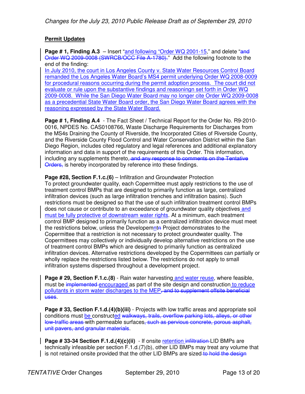## **Permit Updates**

**Page # 1, Finding A.3** – Insert "and following "Order WQ 2001-15," and delete "and Order WQ 2009-0008 (SWRCB/OCC File A-1780)." Add the following footnote to the end of the finding:

In July 2010, the court in Los Angeles County v. State Water Resources Control Board remanded the Los Angeles Water Board's MS4 permit underlying Order WQ 2008-0009 for procedural reasons occurring during the permit adoption process. The court did not evaluate or rule upon the substantive findings and reasoningn set forth in Order WQ 2009-0008. While the San Diego Water Board may no longer cite Order WQ 2009-0008 as a precedential State Water Board order, the San Diego Water Board agrees with the reasoning expressed by the State Water Board.

**Page # 1, Finding A.4** - The Fact Sheet / Technical Report for the Order No. R9-2010- 0016, NPDES No. CAS0108766, Waste Discharge Requirements for Discharges from the MS4s Draining the County of Riverside, the Incorporated Cities of Riverside County, and the Riverside County Flood Control and Water Conservation District within the San Diego Region, includes cited regulatory and legal references and additional explanatory information and data in support of the requirements of this Order. This information, including any supplements thereto, and any response to comments on the Tentative Orders, is hereby incorporated by reference into these findings.

**Page #28, Section F.1.c.(6)** – Infiltration and Groundwater Protection To protect groundwater quality, each Copermittee must apply restrictions to the use of treatment control BMPs that are designed to primarily function as large, centralized infiltration devices (such as large infiltration trenches and infiltration basins). Such restrictions must be designed so that the use of such infiltration treatment control BMPs does not cause or contribute to an exceedance of groundwater quality objectives and must be fully protective of downstream water rights. At a minimum, each treatment control BMP designed to primarily function as a centralized infiltration device must meet the restrictions below, unless the Developemnta Project demonstrates to the Copermittee that a restriction is not necessary to protect groundwater quality. The Copermittees may collectively or individually develop alternative restrictions on the use of treatment control BMPs which are designed to primarily function as centralized infiltration devices. Alternative restrictions developed by the Copermittees can partially or wholly replace the restrictions listed below. The restrictions do not apply to small infiltration systems dispersed throughout a development project.

**Page # 29, Section F.1.c.(8)** - Rain water harvesting and water reuse, where feasible, must be implemented encouraged as part of the site design and construction to reduce pollutants in storm water discharges to the MEP<del>, and to supplement offsite beneficial</del> uses.

**Page # 33, Section F.1.d.(4)(b)(iii)** - Projects with low traffic areas and appropriate soil conditions must be constructed walkways, trails, overflow parking lots, alleys, or other low-traffic areas with permeable surfaces, such as pervious concrete, porous asphalt, unit pavers, and granular materials.

**Page # 33-34 Section F.1.d.(4)(c)(ii)** - If onsite retention infiltration LID BMPs are technically infeasible per section F.1.d.(7)(b), other LID BMPs may treat any volume that  $\vert$  is not retained onsite provided that the other LID BMPs are sized to hold the design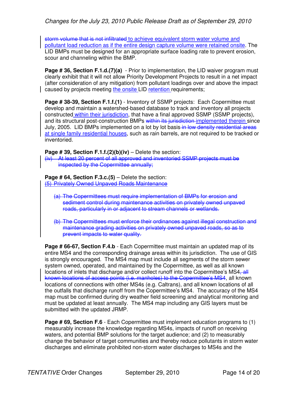storm volume that is not infiltrated to achieve equivalent storm water volume and pollutant load reduction as if the entire design capture volume were retained onsite. The LID BMPs must be designed for an appropriate surface loading rate to prevent erosion, scour and channeling within the BMP.

**Page # 36, Section F.1.d.(7)(a)** - Prior to implementation, the LID waiver program must clearly exhibit that it will not allow Priority Development Projects to result in a net impact (after consideration of any mitigation) from pollutant loadings over and above the impact caused by projects meeting the onsite LID retention requirements;

**Page # 38-39, Section F.1.f.(1)** - Inventory of SSMP projects: Each Copermittee must develop and maintain a watershed-based database to track and inventory all projects constructed within their jurisdiction, that have a final approved SSMP (SSMP projects), and its structural post-construction BMPs within its jurisdiction implemented therein since July, 2005. LID BMPs implemented on a lot by lot basis in low density residential areas at single family residential houses, such as rain barrels, are not required to be tracked or inventoried.

**Page # 39, Section F.1.f.(2)(b)(iv)** – Delete the section:

(iv) At least 20 percent of all approved and inventoried SSMP projects must be inspected by the Copermittee annually;

**Page # 64, Section F.3.c.(5)** – Delete the section: (5) Privately Owned Unpaved Roads Maintenance

- (a) The Copermittees must require implementation of BMPs for erosion and sediment control during maintenance activities on privately owned unpaved roads, particularly in or adjacent to stream channels or wetlands.
- (b) The Copermittees must enforce their ordinances against illegal construction and maintenance grading activities on privately owned unpaved roads, so as to prevent impacts to water quality.

**Page # 66-67, Section F.4.b** - Each Copermittee must maintain an updated map of its entire MS4 and the corresponding drainage areas within its jurisdiction. The use of GIS is strongly encouraged. The MS4 map must include all segments of the storm sewer system owned, operated, and maintained by the Copermittee, as well as all known locations of inlets that discharge and/or collect runoff into the Copermittee's MS4. known locations of access points (i.e. manholes) to the Copermittee's MS4, all known locations of connections with other MS4s (e.g. Caltrans), and all known locations of all the outfalls that discharge runoff from the Copermittee's MS4. The accuracy of the MS4 map must be confirmed during dry weather field screening and analytical monitoring and must be updated at least annually. The MS4 map including any GIS layers must be submitted with the updated JRMP.

**Page # 69, Section F.6** - Each Copermittee must implement education programs to (1) measurably increase the knowledge regarding MS4s, impacts of runoff on receiving waters, and potential BMP solutions for the target audience; and (2) to measurably change the behavior of target communities and thereby reduce pollutants in storm water discharges and eliminate prohibited non-storm water discharges to MS4s and the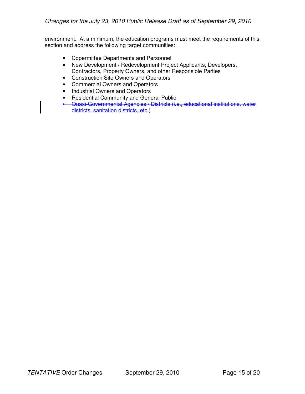environment. At a minimum, the education programs must meet the requirements of this section and address the following target communities:

- Copermittee Departments and Personnel
- New Development / Redevelopment Project Applicants, Developers, Contractors, Property Owners, and other Responsible Parties
- Construction Site Owners and Operators
- Commercial Owners and Operators
- Industrial Owners and Operators
- Residential Community and General Public
- Quasi-Governmental Agencies / Districts (i.e., educational institutions, water districts, sanitation districts, etc.)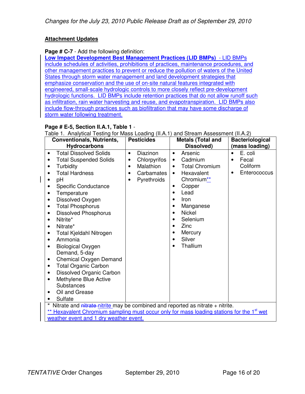### **Attachment Updates**

#### **Page # C-7** - Add the following definition:

**Low Impact Development Best Management Practices (LID BMPs)** - LID BMPs include schedules of activities, prohibitions of practices, maintenance procedures, and other management practices to prevent or reduce the pollution of waters of the United States through storm water management and land development strategies that emphasize conservation and the use of on-site natural features integrated with engineered, small-scale hydrologic controls to more closely reflect pre-development hydrologic functions. LID BMPs include retention practices that do not allow runoff such as infiltration, rain water harvesting and reuse, and evapotranspiration. LID BMPs also include flow-through practices such as biofiltration that may have some discharge of storm water following treatment.

## **Page # E-5, Section II.A.1, Table 1** -

Table 1. Analytical Testing for Mass Loading (II.A.1) and Stream Assessment (II.A.2)

| <b>Conventionals, Nutrients,</b><br><b>Hydrocarbons</b>                                                                                                                                                                                                                                                                                                                                                                                                                                                                                                                                                                                                                                                                                                    | <b>Pesticides</b>                                                                                                   | <b>Metals (Total and</b><br>Dissolved)                                                                                                                                                                                                                                                                                                                            | <b>Bacteriological</b><br>(mass loading)                                    |
|------------------------------------------------------------------------------------------------------------------------------------------------------------------------------------------------------------------------------------------------------------------------------------------------------------------------------------------------------------------------------------------------------------------------------------------------------------------------------------------------------------------------------------------------------------------------------------------------------------------------------------------------------------------------------------------------------------------------------------------------------------|---------------------------------------------------------------------------------------------------------------------|-------------------------------------------------------------------------------------------------------------------------------------------------------------------------------------------------------------------------------------------------------------------------------------------------------------------------------------------------------------------|-----------------------------------------------------------------------------|
| <b>Total Dissolved Solids</b><br>$\bullet$<br><b>Total Suspended Solids</b><br>$\bullet$<br>Turbidity<br>$\bullet$<br><b>Total Hardness</b><br>$\bullet$<br>pH<br>$\bullet$<br>Specific Conductance<br>$\bullet$<br>Temperature<br>$\bullet$<br>Dissolved Oxygen<br>$\bullet$<br><b>Total Phosphorus</b><br>$\bullet$<br><b>Dissolved Phosphorus</b><br>٠<br>Nitrite*<br>$\bullet$<br>Nitrate*<br>$\bullet$<br>Total Kjeldahl Nitrogen<br>$\bullet$<br>Ammonia<br>٠<br><b>Biological Oxygen</b><br>$\bullet$<br>Demand, 5-day<br>Chemical Oxygen Demand<br>$\bullet$<br><b>Total Organic Carbon</b><br>$\bullet$<br>Dissolved Organic Carbon<br>٠<br>Methylene Blue Active<br>$\bullet$<br>Substances<br>Oil and Grease<br>$\bullet$<br>Sulfate<br>$\star$ | Diazinon<br>$\bullet$<br>Chlorpyrifos<br>$\bullet$<br>Malathion<br>$\bullet$<br>Carbamates<br>٠<br>Pyrethroids<br>٠ | Arsenic<br>$\bullet$<br>Cadmium<br>$\bullet$<br><b>Total Chromium</b><br>$\bullet$<br>Hexavalent<br>$\bullet$<br>Chromium <sup>**</sup><br>Copper<br>٠<br>Lead<br>$\bullet$<br>Iron<br>$\bullet$<br>Manganese<br><b>Nickel</b><br>$\bullet$<br>Selenium<br>$\bullet$<br>Zinc<br>$\bullet$<br>Mercury<br>$\bullet$<br>Silver<br>$\bullet$<br>Thallium<br>$\bullet$ | E. coli<br>$\bullet$<br>Fecal<br>$\bullet$<br>Coliform<br>Enterococcus<br>٠ |
| Nitrate and nitrate-nitrite may be combined and reported as nitrate + nitrite.<br>** Hexavalent Chromium sampling must occur only for mass loading stations for the 1 <sup>st</sup> wet<br>weather event and 1 dry weather event.                                                                                                                                                                                                                                                                                                                                                                                                                                                                                                                          |                                                                                                                     |                                                                                                                                                                                                                                                                                                                                                                   |                                                                             |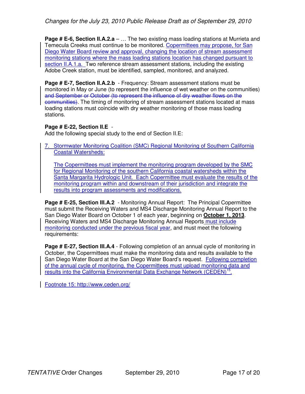**Page # E-6, Section II.A.2.a** – ... The two existing mass loading stations at Murrieta and Temecula Creeks must continue to be monitored. Copermittees may propose, for San Diego Water Board review and approval, changing the location of stream assessment monitoring stations where the mass loading stations location has changed pursuant to section II.A.1.a. Two reference stream assessment stations, including the existing Adobe Creek station, must be identified, sampled, monitored, and analyzed.

**Page # E-7, Section II.A.2.b** - Frequency: Stream assessment stations must be monitored in May or June (to represent the influence of wet weather on the communities) and September or October (to represent the influence of dry weather flows on the communities). The timing of monitoring of stream assessment stations located at mass loading stations must coincide with dry weather monitoring of those mass loading stations.

#### **Page # E-22, Section II.E** -

Add the following special study to the end of Section II.E:

7. Stormwater Monitoring Coalition (SMC) Regional Monitoring of Southern California Coastal Watersheds:

The Copermittees must implement the monitoring program developed by the SMC for Regional Monitoring of the southern California coastal watersheds within the Santa Margarita Hydrologic Unit. Each Copermittee must evaluate the results of the monitoring program within and downstream of their jurisdiction and integrate the results into program assessments and modifications.

**Page # E-25, Section III.A.2** - Monitoring Annual Report: The Principal Copermittee must submit the Receiving Waters and MS4 Discharge Monitoring Annual Report to the San Diego Water Board on October 1 of each year, beginning on **October 1, 2013**. Receiving Waters and MS4 Discharge Monitoring Annual Reports must include monitoring conducted under the previous fiscal year, and must meet the following requirements:

**Page # E-27, Section III.A.4** - Following completion of an annual cycle of monitoring in October, the Copermittees must make the monitoring data and results available to the San Diego Water Board at the San Diego Water Board's request. Following completion of the annual cycle of monitoring, the Copermittees must upload monitoring data and results into the California Environmental Data Exchange Network (CEDEN)<sup>15</sup>.

Footnote 15: http://www.ceden.org/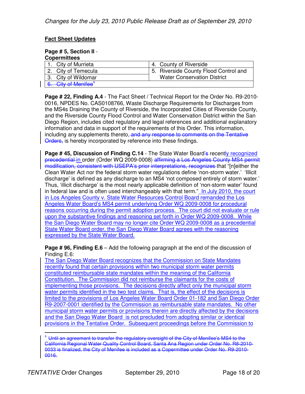### **Fact Sheet Updates**

## **Page # 5, Section II** -

| <b>Copermittees</b>             |                                       |
|---------------------------------|---------------------------------------|
| 1. City of Murrieta             | 4. County of Riverside                |
| 2. City of Temecula             | 5. Riverside County Flood Control and |
| 3. City of Wildomar             | <b>Water Conservation District</b>    |
| 6. City of Menifee <sup>+</sup> |                                       |

**Page # 22, Finding A.4** - The Fact Sheet / Technical Report for the Order No. R9-2010- 0016, NPDES No. CAS0108766, Waste Discharge Requirements for Discharges from the MS4s Draining the County of Riverside, the Incorporated Cities of Riverside County, and the Riverside County Flood Control and Water Conservation District within the San Diego Region, includes cited regulatory and legal references and additional explanatory information and data in support of the requirements of this Order. This information, including any supplements thereto, and any response to comments on the Tentative Orders, is hereby incorporated by reference into these findings.

**Page # 45, Discussion of Finding C.14** - The State Water Board's recently recognized precedential in order (Order WQ 2009-0008) affirming a Los Angeles County MS4 permit modification, consistent with USEPA's prior interpretations, recognizes that "[n]either the Clean Water Act nor the federal storm water regulations define 'non-storm water.' 'Illicit discharge' is defined as any discharge to an MS4 'not composed entirely of storm water.' Thus, 'illicit discharge' is the most nearly applicable definition of 'non-storm water' found in federal law and is often used interchangeably with that term." In July 2010, the court in Los Angeles County v. State Water Resources Control Board remanded the Los Angeles Water Board's MS4 permit underlying Order WQ 2009-0008 for procedural reasons occurring during the permit adoption process. The court did not evaluate or rule upon the substantive findings and reasoning set forth in Order WQ 2009-0008. While the San Diego Water Board may no longer cite Order WQ 2009-0008 as a precedential State Water Board order, the San Diego Water Board agrees with the reasoning expressed by the State Water Board.

**Page # 96, Finding E.6** – Add the following paragraph at the end of the discussion of Finding E.6:

The San Diego Water Board recognizes that the Commission on State Mandates recently found that certain provisions within two municipal storm water permits constituted reimbursable state mandates within the meaning of the California Constitution. The Commission did not reimburse the claimants for the costs of implementing those provisions. The decisions directly affect only the municipal storm water permits identified in the two test claims. That is, the effect of the decisions is limited to the provisions of Los Angeles Water Board Order 01-182 and San Diego Order R9-2007-0001 identified by the Commission as reimbursable state mandates. No other municipal storm water permits or provisions therein are directly affected by the decisions and the San Diego Water Board is not precluded from adopting similar or identical provisions in the Tentative Order. Subsequent proceedings before the Commission to

 $\overline{a}$  $^{\mathrm{+}}$  Until an agreement to transfer the regulatory oversight of the City of Menifee's MS4 to the California Regional Water Quality Control Board, Santa Ana Region under Order No. R8-2010- 0033 is finalized, the City of Menifee is included as a Copermittee under Order No. R9-2010- 0016.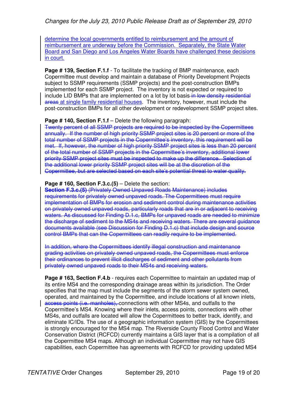determine the local governments entitled to reimbursement and the amount of reimbursement are underway before the Commission. Separately, the State Water Board and San Diego and Los Angeles Water Boards have challenged these decisions in court.

**Page # 139, Section F.1.f** - To facilitate the tracking of BMP maintenance, each Copermittee must develop and maintain a database of Priority Development Projects subject to SSMP requirements (SSMP projects) and the post-construction BMPs implemented for each SSMP project. The inventory is not expected or required to include LID BMPs that are implemented on a lot by lot basis in low density residential areas at single family residential houses. The inventory, however, must include the post-construction BMPs for all other development or redevelopment SSMP project sites.

#### **Page # 140, Section F.1.f** – Delete the following paragraph:

Twenty percent of all SSMP projects are required to be inspected by the Copermittees annually. If the number of high priority SSMP project sites is 20 percent or more of the total number of SSMP projects in the Copermittee's inventory, this requirement will be met. If, however, the number of high priority SSMP project sites is less than 20 percent of the total number of SSMP projects in the Copermittee's inventory, additional lower priority SSMP project sites must be inspected to make up the difference. Selection of the additional lower priority SSMP project sites will be at the discretion of the Copermittee, but are selected based on each site's potential threat to water quality.

#### **Page # 160, Section F.3.c.(5)** – Delete the section:

**Section F.3.c.(5)** (Privately Owned Unpaved Roads Maintenance) includes requirements for privately owned unpaved roads. The Copermittees must require implementation of BMPs for erosion and sediment control during maintenance activities on privately owned unpaved roads, particularly roads that are in or adjacent to receiving waters. As discussed for Finding D.1.c, BMPs for unpaved roads are needed to minimize the discharge of sediment to the MS4s and receiving waters. There are several guidance documents available (see Discussion for Finding D.1.c) that include design and source control BMPs that can the Copermittees can readily require to be implemented.

In addition, where the Copermittees identify illegal construction and maintenance grading activities on privately owned unpaved roads, the Copermittees must enforce their ordinances to prevent illicit discharges of sediment and other pollutants from privately owned unpaved roads to their MS4s and receiving waters.

**Page # 163, Section F.4.b** - requires each Copermittee to maintain an updated map of its entire MS4 and the corresponding drainage areas within its jurisdiction. The Order specifies that the map must include the segments of the storm sewer system owned, operated, and maintained by the Copermittee, and include locations of all known inlets, access points (i.e. manholes), connections with other MS4s, and outfalls to the Copermittee's MS4. Knowing where their inlets, access points, connections with other MS4s, and outfalls are located will allow the Copermittees to better track, identify, and eliminate IC/IDs. The use of a geographic information system (GIS) by the Copermittees is strongly encouraged for the MS4 map. The Riverside County Flood Control and Water Conservation District (RCFCD) currently maintains a GIS layer that is a compilation of all the Copermittee MS4 maps. Although an individual Copermittee may not have GIS capabilities, each Copermittee has agreements with RCFCD for providing updated MS4